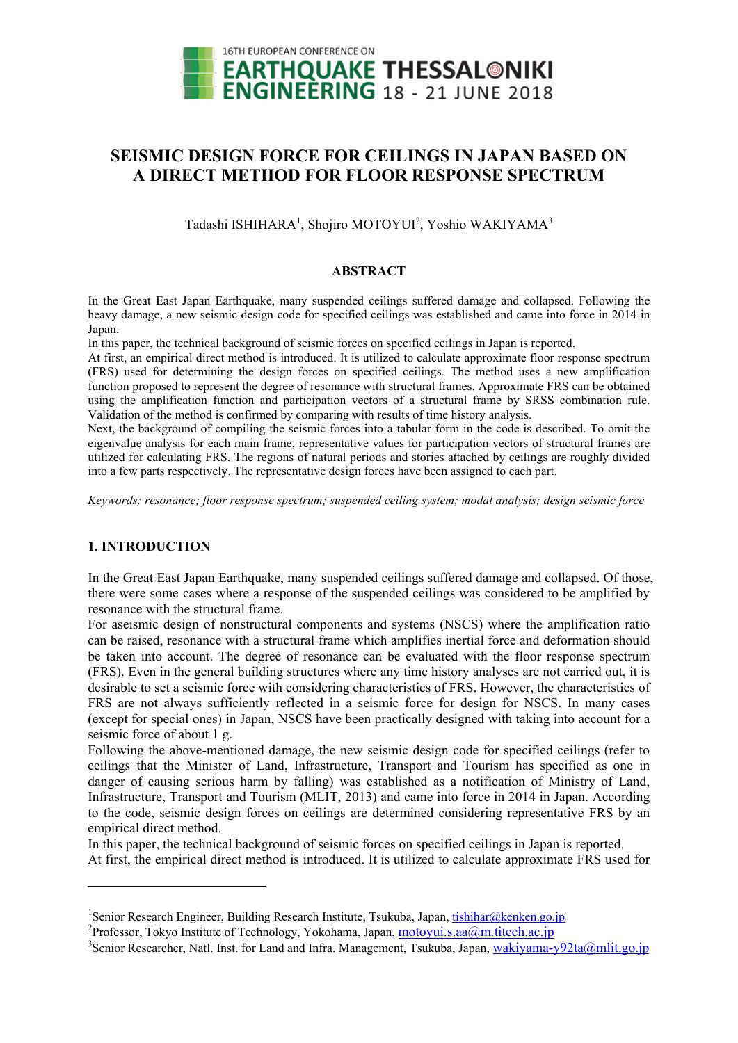

# **SEISMIC DESIGN FORCE FOR CEILINGS IN JAPAN BASED ON A DIRECT METHOD FOR FLOOR RESPONSE SPECTRUM**

Tadashi ISHIHARA<sup>1</sup>, Shojiro MOTOYUI<sup>2</sup>, Yoshio WAKIYAMA<sup>3</sup>

### **ABSTRACT**

In the Great East Japan Earthquake, many suspended ceilings suffered damage and collapsed. Following the heavy damage, a new seismic design code for specified ceilings was established and came into force in 2014 in Japan.

In this paper, the technical background of seismic forces on specified ceilings in Japan is reported.

At first, an empirical direct method is introduced. It is utilized to calculate approximate floor response spectrum (FRS) used for determining the design forces on specified ceilings. The method uses a new amplification function proposed to represent the degree of resonance with structural frames. Approximate FRS can be obtained using the amplification function and participation vectors of a structural frame by SRSS combination rule. Validation of the method is confirmed by comparing with results of time history analysis.

Next, the background of compiling the seismic forces into a tabular form in the code is described. To omit the eigenvalue analysis for each main frame, representative values for participation vectors of structural frames are utilized for calculating FRS. The regions of natural periods and stories attached by ceilings are roughly divided into a few parts respectively. The representative design forces have been assigned to each part.

*Keywords: resonance; floor response spectrum; suspended ceiling system; modal analysis; design seismic force* 

## **1. INTRODUCTION**

1

In the Great East Japan Earthquake, many suspended ceilings suffered damage and collapsed. Of those, there were some cases where a response of the suspended ceilings was considered to be amplified by resonance with the structural frame.

For aseismic design of nonstructural components and systems (NSCS) where the amplification ratio can be raised, resonance with a structural frame which amplifies inertial force and deformation should be taken into account. The degree of resonance can be evaluated with the floor response spectrum (FRS). Even in the general building structures where any time history analyses are not carried out, it is desirable to set a seismic force with considering characteristics of FRS. However, the characteristics of FRS are not always sufficiently reflected in a seismic force for design for NSCS. In many cases (except for special ones) in Japan, NSCS have been practically designed with taking into account for a seismic force of about 1 g.

Following the above-mentioned damage, the new seismic design code for specified ceilings (refer to ceilings that the Minister of Land, Infrastructure, Transport and Tourism has specified as one in danger of causing serious harm by falling) was established as a notification of Ministry of Land, Infrastructure, Transport and Tourism (MLIT, 2013) and came into force in 2014 in Japan. According to the code, seismic design forces on ceilings are determined considering representative FRS by an empirical direct method.

In this paper, the technical background of seismic forces on specified ceilings in Japan is reported. At first, the empirical direct method is introduced. It is utilized to calculate approximate FRS used for

<sup>&</sup>lt;sup>1</sup>Senior Research Engineer, Building Research Institute, Tsukuba, Japan, <u>tishihar@kenken.go.jp</u><br><sup>2</sup>Professor, Televe Institute of Technology, Velschame, Japan, meteruri s 99@m titech 99.ip

<sup>&</sup>lt;sup>2</sup>Professor, Tokyo Institute of Technology, Yokohama, Japan,  $\underline{motor}$  motoyui.s.aa $@$ m.titech.ac.jp

<sup>&</sup>lt;sup>3</sup>Senior Researcher, Natl. Inst. for Land and Infra. Management, Tsukuba, Japan, wakiyama-y92ta@mlit.go.jp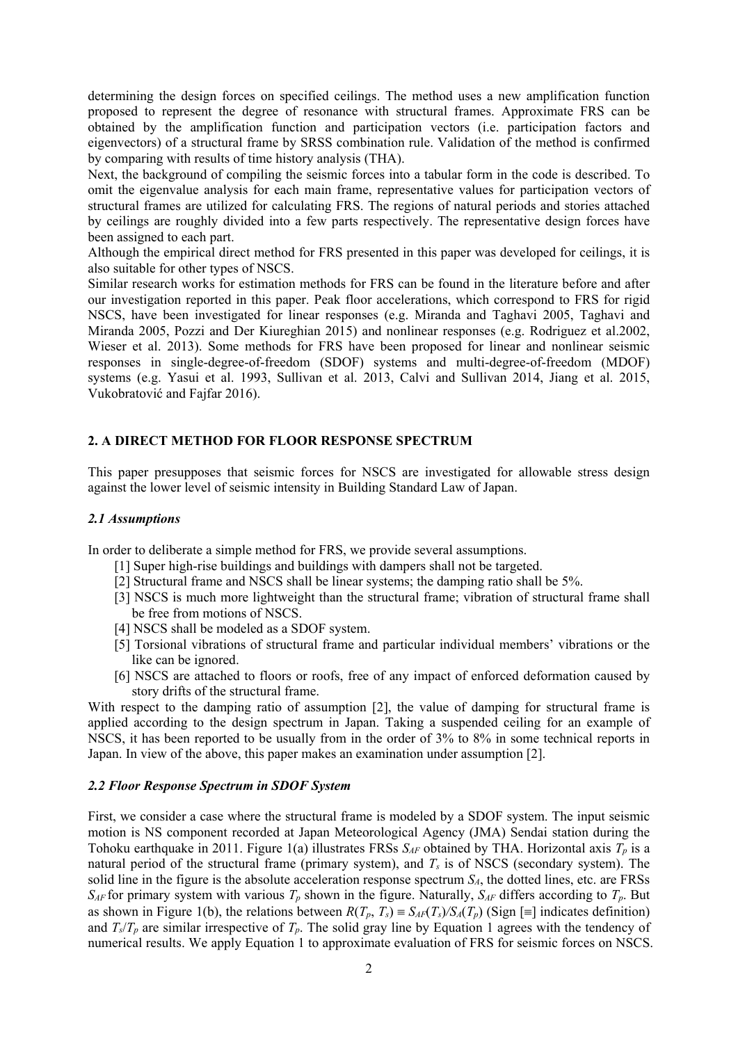determining the design forces on specified ceilings. The method uses a new amplification function proposed to represent the degree of resonance with structural frames. Approximate FRS can be obtained by the amplification function and participation vectors (i.e. participation factors and eigenvectors) of a structural frame by SRSS combination rule. Validation of the method is confirmed by comparing with results of time history analysis (THA).

Next, the background of compiling the seismic forces into a tabular form in the code is described. To omit the eigenvalue analysis for each main frame, representative values for participation vectors of structural frames are utilized for calculating FRS. The regions of natural periods and stories attached by ceilings are roughly divided into a few parts respectively. The representative design forces have been assigned to each part.

Although the empirical direct method for FRS presented in this paper was developed for ceilings, it is also suitable for other types of NSCS.

Similar research works for estimation methods for FRS can be found in the literature before and after our investigation reported in this paper. Peak floor accelerations, which correspond to FRS for rigid NSCS, have been investigated for linear responses (e.g. Miranda and Taghavi 2005, Taghavi and Miranda 2005, Pozzi and Der Kiureghian 2015) and nonlinear responses (e.g. Rodriguez et al.2002, Wieser et al. 2013). Some methods for FRS have been proposed for linear and nonlinear seismic responses in single-degree-of-freedom (SDOF) systems and multi-degree-of-freedom (MDOF) systems (e.g. Yasui et al. 1993, Sullivan et al. 2013, Calvi and Sullivan 2014, Jiang et al. 2015, Vukobratović and Fajfar 2016).

## **2. A DIRECT METHOD FOR FLOOR RESPONSE SPECTRUM**

This paper presupposes that seismic forces for NSCS are investigated for allowable stress design against the lower level of seismic intensity in Building Standard Law of Japan.

## *2.1 Assumptions*

In order to deliberate a simple method for FRS, we provide several assumptions.

- [1] Super high-rise buildings and buildings with dampers shall not be targeted.
- [2] Structural frame and NSCS shall be linear systems; the damping ratio shall be 5%.
- [3] NSCS is much more lightweight than the structural frame; vibration of structural frame shall be free from motions of NSCS.
- [4] NSCS shall be modeled as a SDOF system.
- [5] Torsional vibrations of structural frame and particular individual members' vibrations or the like can be ignored.
- [6] NSCS are attached to floors or roofs, free of any impact of enforced deformation caused by story drifts of the structural frame.

With respect to the damping ratio of assumption [2], the value of damping for structural frame is applied according to the design spectrum in Japan. Taking a suspended ceiling for an example of NSCS, it has been reported to be usually from in the order of 3% to 8% in some technical reports in Japan. In view of the above, this paper makes an examination under assumption [2].

#### *2.2 Floor Response Spectrum in SDOF System*

First, we consider a case where the structural frame is modeled by a SDOF system. The input seismic motion is NS component recorded at Japan Meteorological Agency (JMA) Sendai station during the Tohoku earthquake in 2011. Figure 1(a) illustrates FRSs  $S_{AF}$  obtained by THA. Horizontal axis  $T_p$  is a natural period of the structural frame (primary system), and  $T_s$  is of NSCS (secondary system). The solid line in the figure is the absolute acceleration response spectrum  $S_A$ , the dotted lines, etc. are FRSs  $S_{AF}$  for primary system with various  $T_p$  shown in the figure. Naturally,  $S_{AF}$  differs according to  $T_p$ . But as shown in Figure 1(b), the relations between  $R(T_p, T_s) = S_{AF}(T_s)/S_A(T_p)$  (Sign [=] indicates definition) and  $T_s/T_p$  are similar irrespective of  $T_p$ . The solid gray line by Equation 1 agrees with the tendency of numerical results. We apply Equation 1 to approximate evaluation of FRS for seismic forces on NSCS.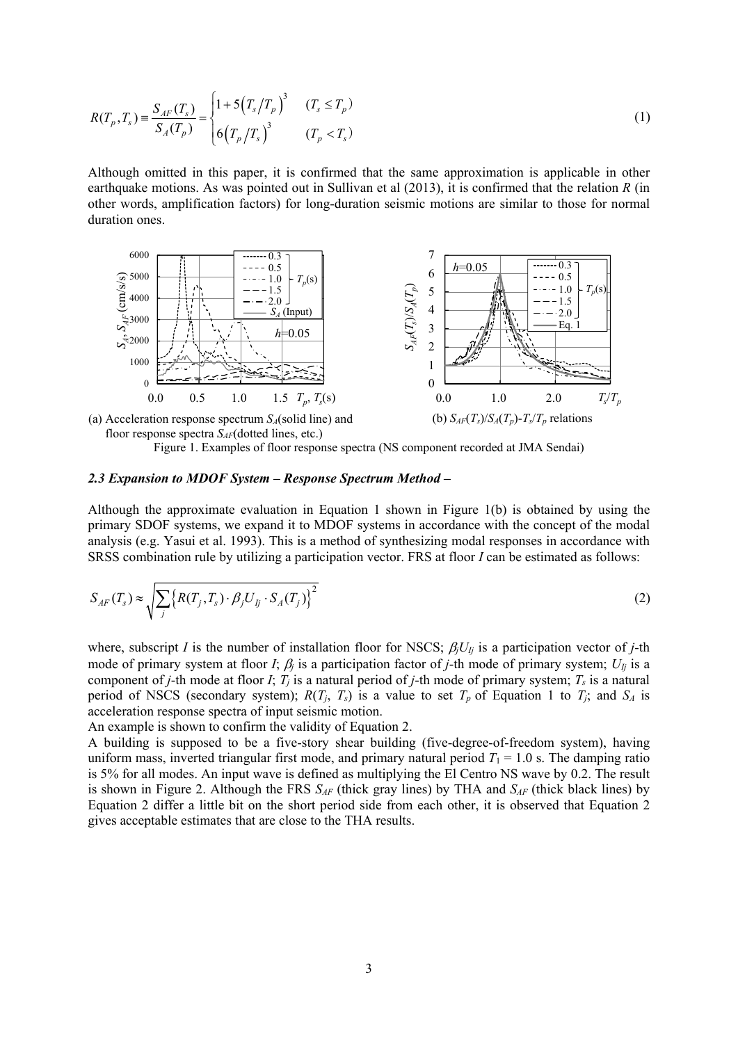$$
R(T_p, T_s) = \frac{S_{AF}(T_s)}{S_A(T_p)} = \begin{cases} 1 + 5(T_s/T_p)^3 & (T_s \le T_p) \\ 6(T_p/T_s)^3 & (T_p < T_s) \end{cases}
$$
 (1)

Although omitted in this paper, it is confirmed that the same approximation is applicable in other earthquake motions. As was pointed out in Sullivan et al (2013), it is confirmed that the relation *R* (in other words, amplification factors) for long-duration seismic motions are similar to those for normal duration ones.



(a) Acceleration response spectrum *SA*(solid line) and floor response spectra  $S_{AF}$ (dotted lines, etc.)

Figure 1. Examples of floor response spectra (NS component recorded at JMA Sendai)

#### *2.3 Expansion to MDOF System – Response Spectrum Method –*

Although the approximate evaluation in Equation 1 shown in Figure 1(b) is obtained by using the primary SDOF systems, we expand it to MDOF systems in accordance with the concept of the modal analysis (e.g. Yasui et al. 1993). This is a method of synthesizing modal responses in accordance with SRSS combination rule by utilizing a participation vector. FRS at floor *I* can be estimated as follows:

$$
S_{AF}(T_s) \approx \sqrt{\sum_j \left\{ R(T_j, T_s) \cdot \beta_j U_{lj} \cdot S_A(T_j) \right\}^2}
$$
\n(2)

where, subscript *I* is the number of installation floor for NSCS;  $\beta_j U_{ij}$  is a participation vector of *j*-th mode of primary system at floor *I*;  $\beta_j$  is a participation factor of *j*-th mode of primary system;  $U_{Ij}$  is a component of *j*-th mode at floor *I*;  $T_j$  is a natural period of *j*-th mode of primary system;  $T_s$  is a natural period of NSCS (secondary system);  $R(T_j, T_s)$  is a value to set  $T_p$  of Equation 1 to  $T_j$ ; and  $S_A$  is acceleration response spectra of input seismic motion.

An example is shown to confirm the validity of Equation 2.

A building is supposed to be a five-story shear building (five-degree-of-freedom system), having uniform mass, inverted triangular first mode, and primary natural period  $T_1 = 1.0$  s. The damping ratio is 5% for all modes. An input wave is defined as multiplying the El Centro NS wave by 0.2. The result is shown in Figure 2. Although the FRS *SAF* (thick gray lines) by THA and *SAF* (thick black lines) by Equation 2 differ a little bit on the short period side from each other, it is observed that Equation 2 gives acceptable estimates that are close to the THA results.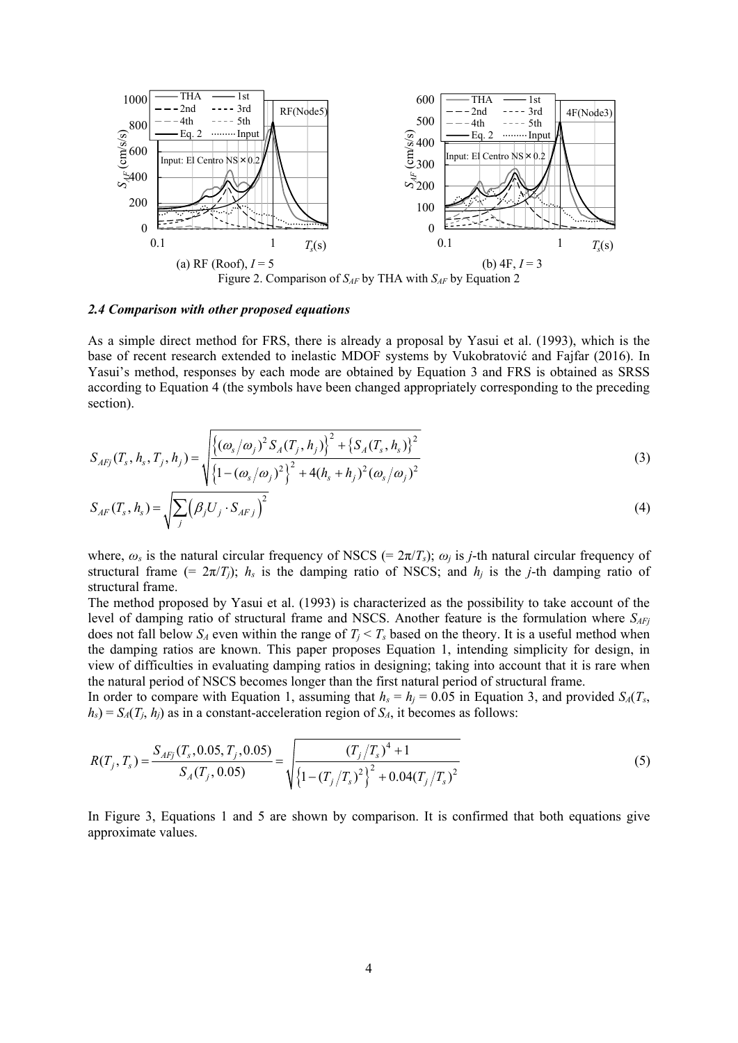

#### *2.4 Comparison with other proposed equations*

As a simple direct method for FRS, there is already a proposal by Yasui et al. (1993), which is the base of recent research extended to inelastic MDOF systems by Vukobratović and Fajfar (2016). In Yasui's method, responses by each mode are obtained by Equation 3 and FRS is obtained as SRSS according to Equation 4 (the symbols have been changed appropriately corresponding to the preceding section).

$$
S_{AFj}(T_s, h_s, T_j, h_j) = \sqrt{\frac{\left\{ (\omega_s/\omega_j)^2 S_A(T_j, h_j) \right\}^2 + \left\{ S_A(T_s, h_s) \right\}^2}{\left\{ 1 - (\omega_s/\omega_j)^2 \right\}^2 + 4(h_s + h_j)^2 (\omega_s/\omega_j)^2}}
$$
(3)

$$
S_{AF}(T_s, h_s) = \sqrt{\sum_j (\beta_j U_j \cdot S_{AFj})^2}
$$
\n(4)

where,  $\omega_s$  is the natural circular frequency of NSCS (=  $2\pi/T_s$ );  $\omega_i$  is *j*-th natural circular frequency of structural frame (=  $2\pi/T_i$ );  $h_s$  is the damping ratio of NSCS; and  $h_i$  is the *j*-th damping ratio of structural frame.

The method proposed by Yasui et al. (1993) is characterized as the possibility to take account of the level of damping ratio of structural frame and NSCS. Another feature is the formulation where  $S_{AFi}$ does not fall below  $S_A$  even within the range of  $T_i < T_s$  based on the theory. It is a useful method when the damping ratios are known. This paper proposes Equation 1, intending simplicity for design, in view of difficulties in evaluating damping ratios in designing; taking into account that it is rare when the natural period of NSCS becomes longer than the first natural period of structural frame.

In order to compare with Equation 1, assuming that  $h_s = h_j = 0.05$  in Equation 3, and provided  $S_A(T_s)$  $h_s$ ) =  $S_A(T_i, h_i)$  as in a constant-acceleration region of  $S_A$ , it becomes as follows:

$$
R(T_j, T_s) = \frac{S_{AFj}(T_s, 0.05, T_j, 0.05)}{S_A(T_j, 0.05)} = \sqrt{\frac{(T_j/T_s)^4 + 1}{\left\{1 - (T_j/T_s)^2\right\}^2 + 0.04(T_j/T_s)^2}}
$$
(5)

In Figure 3, Equations 1 and 5 are shown by comparison. It is confirmed that both equations give approximate values.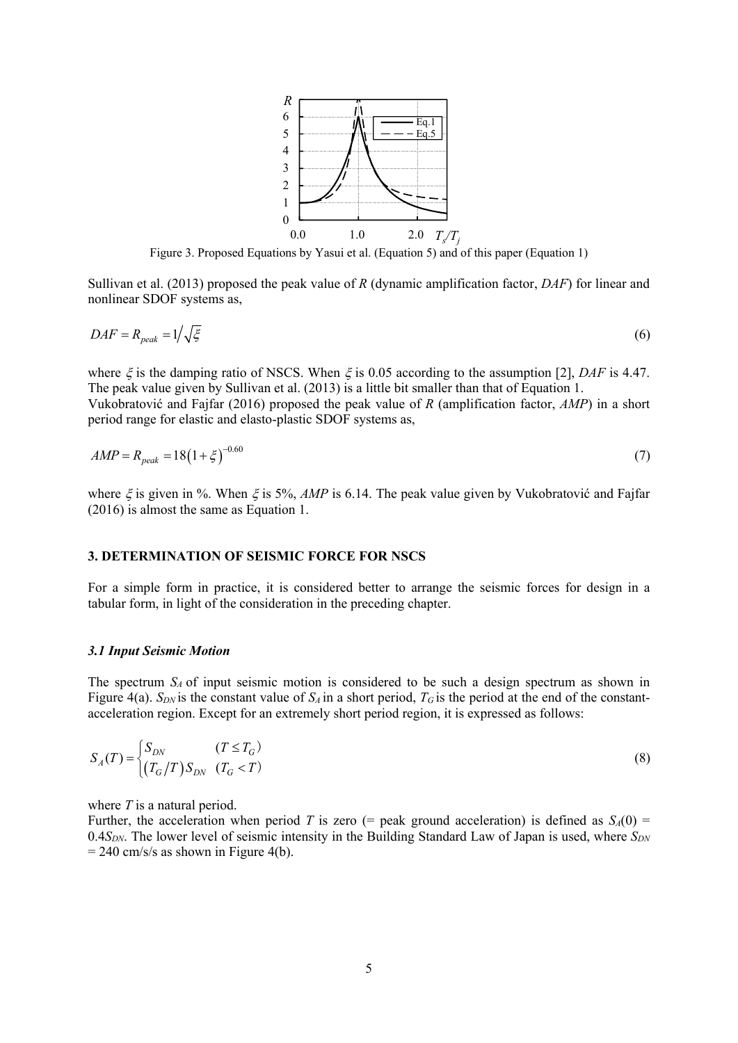

Figure 3. Proposed Equations by Yasui et al. (Equation 5) and of this paper (Equation 1)

Sullivan et al. (2013) proposed the peak value of *R* (dynamic amplification factor, *DAF*) for linear and nonlinear SDOF systems as,

$$
DAF = R_{peak} = 1/\sqrt{\xi} \tag{6}
$$

where  $\xi$  is the damping ratio of NSCS. When  $\xi$  is 0.05 according to the assumption [2], *DAF* is 4.47. The peak value given by Sullivan et al. (2013) is a little bit smaller than that of Equation 1. Vukobratović and Fajfar (2016) proposed the peak value of *R* (amplification factor, *AMP*) in a short period range for elastic and elasto-plastic SDOF systems as,

$$
AMP = R_{peak} = 18(1 + \xi)^{-0.60}
$$
\n(7)

where  $\zeta$  is given in %. When  $\zeta$  is 5%, *AMP* is 6.14. The peak value given by Vukobratović and Fajfar (2016) is almost the same as Equation 1.

#### **3. DETERMINATION OF SEISMIC FORCE FOR NSCS**

For a simple form in practice, it is considered better to arrange the seismic forces for design in a tabular form, in light of the consideration in the preceding chapter.

#### *3.1 Input Seismic Motion*

The spectrum *SA* of input seismic motion is considered to be such a design spectrum as shown in Figure 4(a).  $S_{DN}$  is the constant value of  $S_A$  in a short period,  $T_G$  is the period at the end of the constantacceleration region. Except for an extremely short period region, it is expressed as follows:

$$
S_A(T) = \begin{cases} S_{DN} & (T \le T_G) \\ (T_G/T)S_{DN} & (T_G < T) \end{cases} \tag{8}
$$

where *T* is a natural period.

Further, the acceleration when period *T* is zero (= peak ground acceleration) is defined as  $S_A(0)$  = 0.4 $S_{DN}$ . The lower level of seismic intensity in the Building Standard Law of Japan is used, where  $S_{DN}$  $= 240$  cm/s/s as shown in Figure 4(b).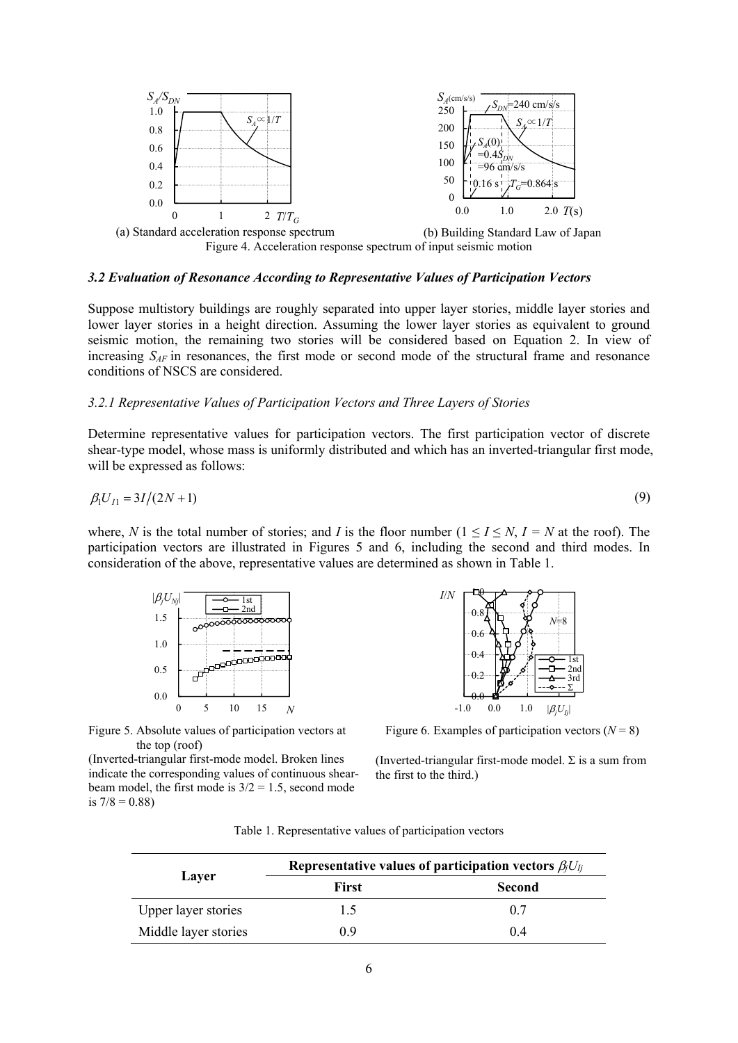

#### *3.2 Evaluation of Resonance According to Representative Values of Participation Vectors*

Suppose multistory buildings are roughly separated into upper layer stories, middle layer stories and lower layer stories in a height direction. Assuming the lower layer stories as equivalent to ground seismic motion, the remaining two stories will be considered based on Equation 2. In view of increasing *SAF* in resonances, the first mode or second mode of the structural frame and resonance conditions of NSCS are considered.

#### *3.2.1 Representative Values of Participation Vectors and Three Layers of Stories*

Determine representative values for participation vectors. The first participation vector of discrete shear-type model, whose mass is uniformly distributed and which has an inverted-triangular first mode, will be expressed as follows:

$$
\beta_1 U_{I1} = 3I/(2N+1) \tag{9}
$$

where, *N* is the total number of stories; and *I* is the floor number  $(1 \leq I \leq N, I = N$  at the roof). The participation vectors are illustrated in Figures 5 and 6, including the second and third modes. In consideration of the above, representative values are determined as shown in Table 1.



 $0.0$  $\Omega$ .2  $0.4$  $0.6$ 0.8  $\mathbf{H}$  $-1.0$  0.0 1.0  $|\beta_j U_{Ij}|$ *I*/*N* 1st 2nd 3rd Σ *N*=8

 $6 = 5$  and  $10 = 15$  and  $N$ <br>Figure 5. Absolute values of participation vectors at the top (roof)

(Inverted-triangular first-mode model. Broken lines indicate the corresponding values of continuous shearbeam model, the first mode is  $3/2 = 1.5$ , second mode is  $7/8 = 0.88$ )

Figure 6. Examples of participation vectors  $(N = 8)$ 

(Inverted-triangular first-mode model.  $\Sigma$  is a sum from the first to the third.)

|                      | Representative values of participation vectors $\beta_i U_{li}$ |        |  |
|----------------------|-----------------------------------------------------------------|--------|--|
| Layer                | First                                                           | Second |  |
| Upper layer stories  | 1.5                                                             | 0.7    |  |
| Middle layer stories | 0.9                                                             | 0.4    |  |

Table 1. Representative values of participation vectors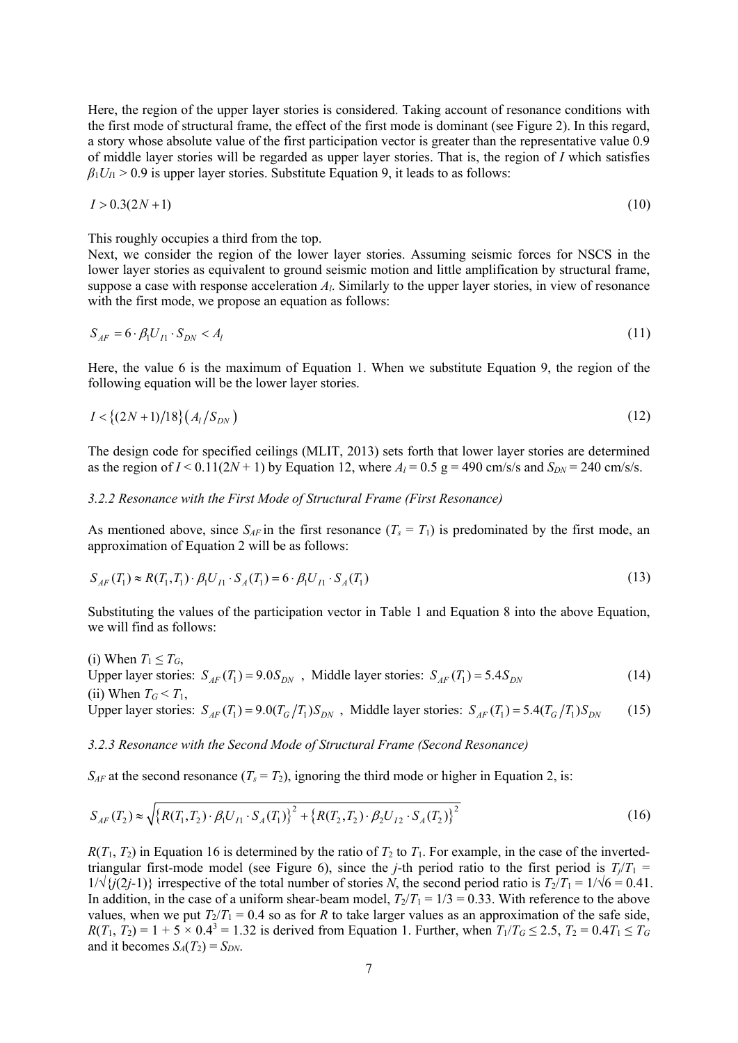Here, the region of the upper layer stories is considered. Taking account of resonance conditions with the first mode of structural frame, the effect of the first mode is dominant (see Figure 2). In this regard, a story whose absolute value of the first participation vector is greater than the representative value 0.9 of middle layer stories will be regarded as upper layer stories. That is, the region of *I* which satisfies  $\beta_1 U_I > 0.9$  is upper layer stories. Substitute Equation 9, it leads to as follows:

$$
I > 0.3(2N + 1) \tag{10}
$$

This roughly occupies a third from the top.

Next, we consider the region of the lower layer stories. Assuming seismic forces for NSCS in the lower layer stories as equivalent to ground seismic motion and little amplification by structural frame, suppose a case with response acceleration *Al*. Similarly to the upper layer stories, in view of resonance with the first mode, we propose an equation as follows:

$$
S_{AF} = 6 \cdot \beta_1 U_{I1} \cdot S_{DN} < A_l \tag{11}
$$

Here, the value 6 is the maximum of Equation 1. When we substitute Equation 9, the region of the following equation will be the lower layer stories.

$$
I < \{(2N+1)/18\} (A_l/S_{DN})
$$
\n(12)

The design code for specified ceilings (MLIT, 2013) sets forth that lower layer stories are determined as the region of  $I < 0.11(2N + 1)$  by Equation 12, where  $A<sub>l</sub> = 0.5$  g = 490 cm/s/s and  $S<sub>DN</sub> = 240$  cm/s/s.

## *3.2.2 Resonance with the First Mode of Structural Frame (First Resonance)*

As mentioned above, since  $S_{AF}$  in the first resonance  $(T_s = T_1)$  is predominated by the first mode, an approximation of Equation 2 will be as follows:

$$
S_{AF}(T_1) \approx R(T_1, T_1) \cdot \beta_1 U_{I1} \cdot S_A(T_1) = 6 \cdot \beta_1 U_{I1} \cdot S_A(T_1)
$$
\n(13)

Substituting the values of the participation vector in Table 1 and Equation 8 into the above Equation, we will find as follows:

(i) When  $T_1 \leq T_G$ , Upper layer stories:  $S_{AF}(T_1) = 9.0 S_{DN}$ , Middle layer stories:  $S_{AF}(T_1) = 5.4 S_{DN}$  (14) (ii) When  $T_G < T_1$ , Upper layer stories:  $S_{AF}(T_1) = 9.0(T_G/T_1)S_{DN}$ , Middle layer stories:  $S_{AF}(T_1) = 5.4(T_G/T_1)S_{DN}$  (15)

#### *3.2.3 Resonance with the Second Mode of Structural Frame (Second Resonance)*

 $S_{AF}$  at the second resonance  $(T_s = T_2)$ , ignoring the third mode or higher in Equation 2, is:

$$
S_{AF}(T_2) \approx \sqrt{\left\{R(T_1, T_2) \cdot \beta_1 U_{I1} \cdot S_A(T_1)\right\}^2 + \left\{R(T_2, T_2) \cdot \beta_2 U_{I2} \cdot S_A(T_2)\right\}^2}
$$
(16)

 $R(T_1, T_2)$  in Equation 16 is determined by the ratio of  $T_2$  to  $T_1$ . For example, in the case of the invertedtriangular first-mode model (see Figure 6), since the *j*-th period ratio to the first period is  $T/T_1 =$  $1/\sqrt{\{(2j-1)\}}$  irrespective of the total number of stories *N*, the second period ratio is  $T_2/T_1 = 1/\sqrt{6} = 0.41$ . In addition, in the case of a uniform shear-beam model,  $T_2/T_1 = 1/3 = 0.33$ . With reference to the above values, when we put  $T_2/T_1 = 0.4$  so as for *R* to take larger values as an approximation of the safe side,  $R(T_1, T_2) = 1 + 5 \times 0.4^3 = 1.32$  is derived from Equation 1. Further, when  $T_1/T_0 \le 2.5$ ,  $T_2 = 0.4T_1 \le T_0$ and it becomes  $S_A(T_2) = S_{DN}$ .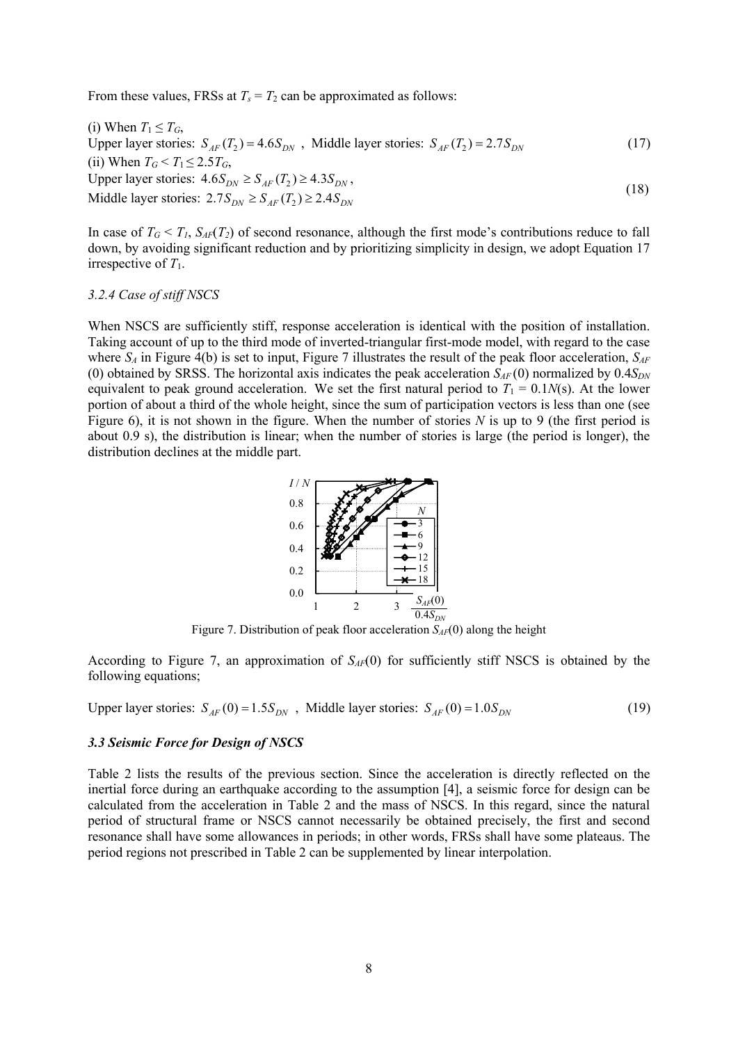From these values, FRSs at  $T_s = T_2$  can be approximated as follows:

(i) When  $T_1 \leq T_G$ , Upper layer stories:  $S_{AF}(T_2) = 4.6 S_{DN}$ , Middle layer stories:  $S_{AF}(T_2) = 2.7 S_{DN}$  (17) (ii) When  $T_G < T_1 \leq 2.5T_G$ , Upper layer stories:  $4.6 S_{DN} \geq S_{AF}(T_2) \geq 4.3 S_{DN}$ , Middle layer stories:  $2.7 S_{DN} \ge S_{AF}(T_2) \ge 2.4 S_{DN}$  (18)

In case of  $T_G \le T_I$ ,  $S_{AF}(T_2)$  of second resonance, although the first mode's contributions reduce to fall down, by avoiding significant reduction and by prioritizing simplicity in design, we adopt Equation 17 irrespective of *T*1.

#### *3.2.4 Case of stiff NSCS*

When NSCS are sufficiently stiff, response acceleration is identical with the position of installation. Taking account of up to the third mode of inverted-triangular first-mode model, with regard to the case where  $S_A$  in Figure 4(b) is set to input, Figure 7 illustrates the result of the peak floor acceleration,  $S_{AF}$ (0) obtained by SRSS. The horizontal axis indicates the peak acceleration  $S_{AF}(0)$  normalized by  $0.4S_{DN}$ equivalent to peak ground acceleration. We set the first natural period to  $T_1 = 0.1N(s)$ . At the lower portion of about a third of the whole height, since the sum of participation vectors is less than one (see Figure 6), it is not shown in the figure. When the number of stories *N* is up to 9 (the first period is about 0.9 s), the distribution is linear; when the number of stories is large (the period is longer), the distribution declines at the middle part.



Figure 7. Distribution of peak floor acceleration  $S_{AF}(0)$  along the height

According to Figure 7, an approximation of  $S_{AF}(0)$  for sufficiently stiff NSCS is obtained by the following equations;

Upper layer stories:  $S_{AF}(0) = 1.5 S_{DN}$ , Middle layer stories:  $S_{AF}(0) = 1.0 S_{DN}$  (19)

## *3.3 Seismic Force for Design of NSCS*

Table 2 lists the results of the previous section. Since the acceleration is directly reflected on the inertial force during an earthquake according to the assumption [4], a seismic force for design can be calculated from the acceleration in Table 2 and the mass of NSCS. In this regard, since the natural period of structural frame or NSCS cannot necessarily be obtained precisely, the first and second resonance shall have some allowances in periods; in other words, FRSs shall have some plateaus. The period regions not prescribed in Table 2 can be supplemented by linear interpolation.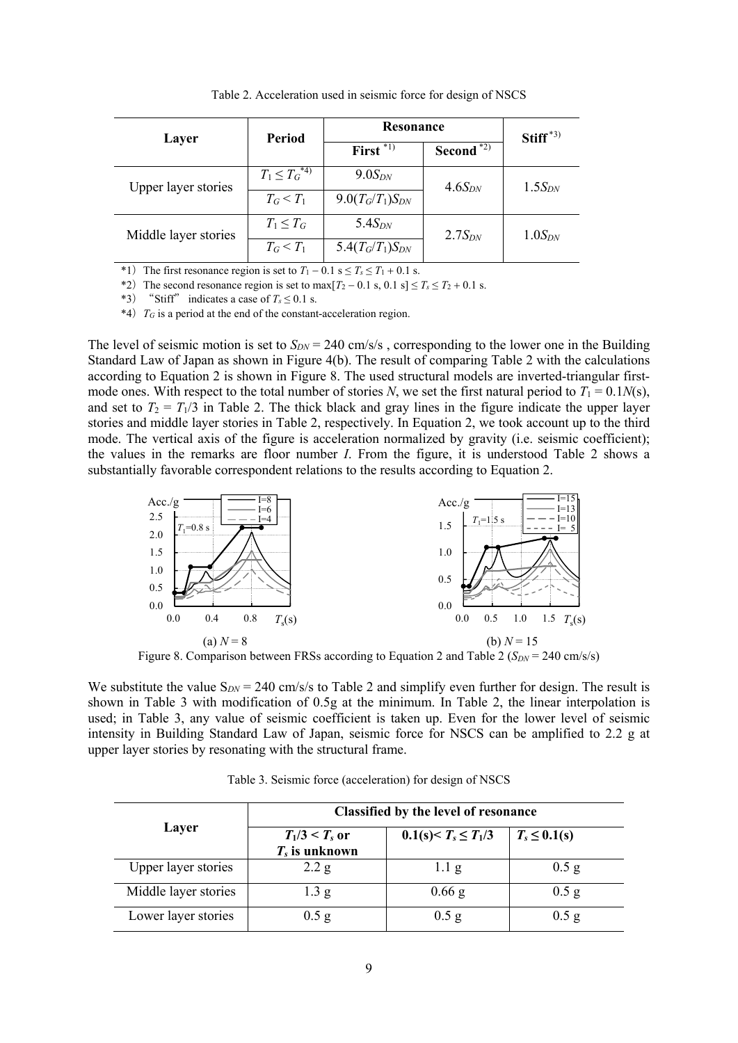| Layer                | <b>Period</b>       | Resonance                |              | $Stiff^{*3}$ |
|----------------------|---------------------|--------------------------|--------------|--------------|
|                      |                     | First $\overline{^{*1}}$ | Second $*2)$ |              |
| Upper layer stories  | $T_1 \leq T_G^{*4}$ | $9.0S_{DN}$              | $4.6S_{DN}$  | $1.5S_{DN}$  |
|                      | $T_G < T_1$         | $9.0(T_G/T_1)S_{DN}$     |              |              |
| Middle layer stories | $T_1 \leq T_G$      | 5.4 $S_{DN}$             | $2.7S_{DN}$  | $1.0S_{DN}$  |
|                      | $T_G < T_1$         | 5.4 $(T_G/T_1)S_{DN}$    |              |              |

Table 2. Acceleration used in seismic force for design of NSCS

\*1) The first resonance region is set to  $T_1 - 0.1$  s  $\le T_s \le T_1 + 0.1$  s.

\*2) The second resonance region is set to max $[T_2 - 0.1 \text{ s}, 0.1 \text{ s}] \le T_s \le T_2 + 0.1 \text{ s}.$ 

\*3) "Stiff" indicates a case of  $T_s \le 0.1$  s.

\*4)*TG* is a period at the end of the constant-acceleration region.

The level of seismic motion is set to  $S_{DN} = 240$  cm/s/s, corresponding to the lower one in the Building Standard Law of Japan as shown in Figure 4(b). The result of comparing Table 2 with the calculations according to Equation 2 is shown in Figure 8. The used structural models are inverted-triangular firstmode ones. With respect to the total number of stories *N*, we set the first natural period to  $T_1 = 0.1N(s)$ , and set to  $T_2 = T_1/3$  in Table 2. The thick black and gray lines in the figure indicate the upper layer stories and middle layer stories in Table 2, respectively. In Equation 2, we took account up to the third mode. The vertical axis of the figure is acceleration normalized by gravity (i.e. seismic coefficient); the values in the remarks are floor number *I*. From the figure, it is understood Table 2 shows a substantially favorable correspondent relations to the results according to Equation 2.



Figure 8. Comparison between FRSs according to Equation 2 and Table 2 (*S<sub>DN</sub>* = 240 cm/s/s)

We substitute the value  $S_{DN} = 240$  cm/s/s to Table 2 and simplify even further for design. The result is shown in Table 3 with modification of 0.5g at the minimum. In Table 2, the linear interpolation is used; in Table 3, any value of seismic coefficient is taken up. Even for the lower level of seismic intensity in Building Standard Law of Japan, seismic force for NSCS can be amplified to 2.2 g at upper layer stories by resonating with the structural frame.

|                      | Classified by the level of resonance |                           |                   |  |  |
|----------------------|--------------------------------------|---------------------------|-------------------|--|--|
| Layer                | $T_1/3 < T_s$ or<br>$T_s$ is unknown | $0.1(s) < T_s \leq T_1/3$ | $T_s \leq 0.1(s)$ |  |  |
| Upper layer stories  | 2.2 g                                | $1.1\text{ g}$            | $0.5$ g           |  |  |
| Middle layer stories | 1.3 g                                | $0.66$ g                  | $0.5$ g           |  |  |
| Lower layer stories  | $0.5$ g                              | $0.5$ g                   | $0.5$ g           |  |  |

Table 3. Seismic force (acceleration) for design of NSCS